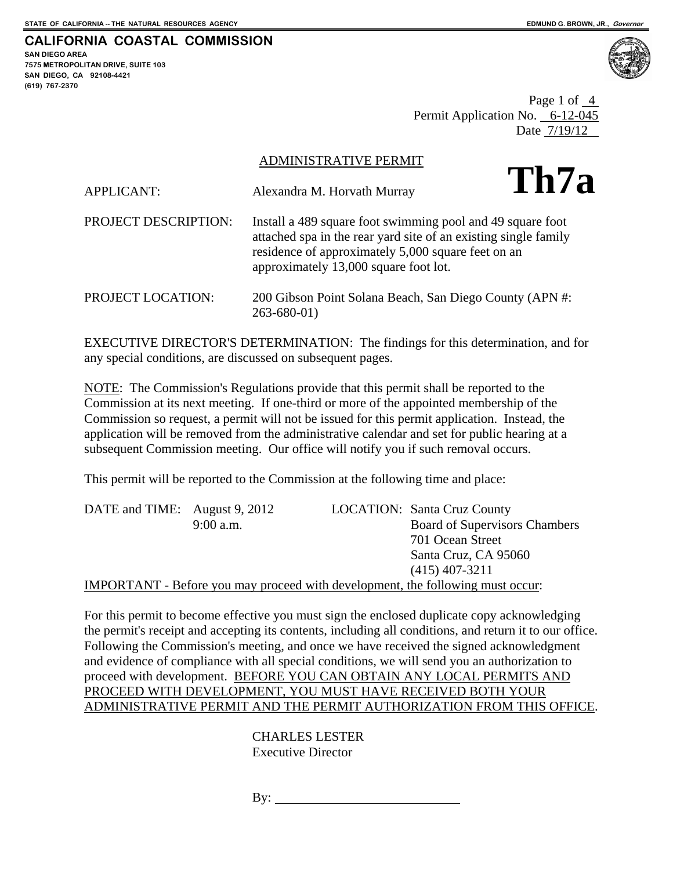**CALIFORNIA COASTAL COMMISSION SAN DIEGO AREA** 

**7575 METROPOLITAN DRIVE, SUITE 103 SAN DIEGO, CA 92108-4421 (619) 767-2370**



Page 1 of 4 Permit Application No. 6-12-045 Date 7/19/12

ADMINISTRATIVE PERMIT

| <b>APPLICANT:</b>    | Alexandra M. Horvath Murray                                                                                                                                                                                                  | Th7a |
|----------------------|------------------------------------------------------------------------------------------------------------------------------------------------------------------------------------------------------------------------------|------|
| PROJECT DESCRIPTION: | Install a 489 square foot swimming pool and 49 square foot<br>attached spa in the rear yard site of an existing single family<br>residence of approximately 5,000 square feet on an<br>approximately 13,000 square foot lot. |      |
| PROJECT LOCATION:    | 200 Gibson Point Solana Beach, San Diego County (APN #:<br>$263 - 680 - 01$                                                                                                                                                  |      |

EXECUTIVE DIRECTOR'S DETERMINATION: The findings for this determination, and for any special conditions, are discussed on subsequent pages.

NOTE: The Commission's Regulations provide that this permit shall be reported to the Commission at its next meeting. If one-third or more of the appointed membership of the Commission so request, a permit will not be issued for this permit application. Instead, the application will be removed from the administrative calendar and set for public hearing at a subsequent Commission meeting. Our office will notify you if such removal occurs.

This permit will be reported to the Commission at the following time and place:

| DATE and TIME: August 9, 2012 |             | <b>LOCATION:</b> Santa Cruz County                                                    |
|-------------------------------|-------------|---------------------------------------------------------------------------------------|
|                               | $9:00$ a.m. | <b>Board of Supervisors Chambers</b>                                                  |
|                               |             | 701 Ocean Street                                                                      |
|                               |             | Santa Cruz, CA 95060                                                                  |
|                               |             | $(415)$ 407-3211                                                                      |
|                               |             | <b>IMPORTANT</b> - Before you may proceed with development, the following must occur: |

For this permit to become effective you must sign the enclosed duplicate copy acknowledging the permit's receipt and accepting its contents, including all conditions, and return it to our office. Following the Commission's meeting, and once we have received the signed acknowledgment and evidence of compliance with all special conditions, we will send you an authorization to proceed with development. BEFORE YOU CAN OBTAIN ANY LOCAL PERMITS AND PROCEED WITH DEVELOPMENT, YOU MUST HAVE RECEIVED BOTH YOUR ADMINISTRATIVE PERMIT AND THE PERMIT AUTHORIZATION FROM THIS OFFICE.

> CHARLES LESTER Executive Director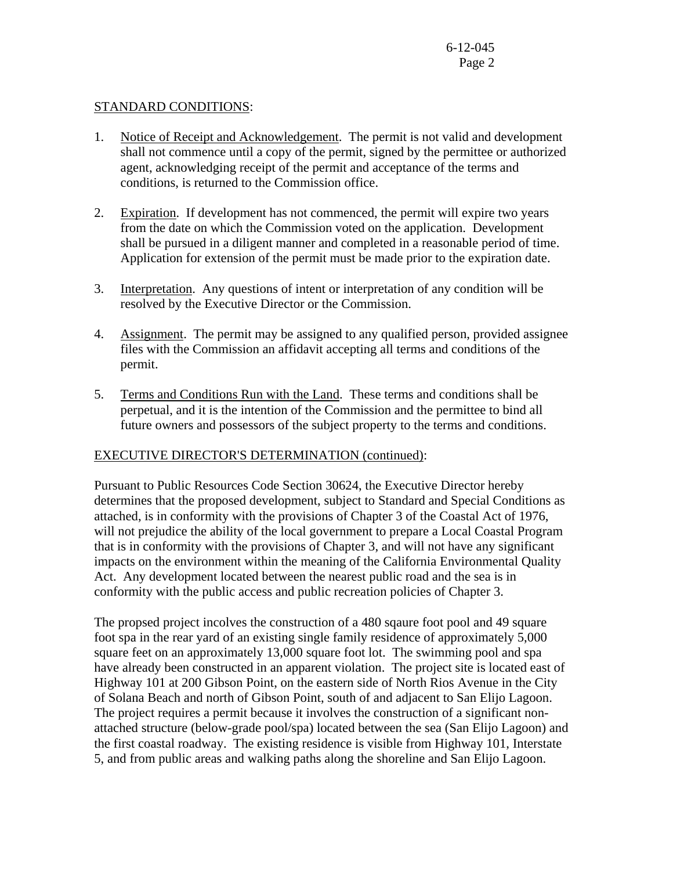## STANDARD CONDITIONS:

- 1. Notice of Receipt and Acknowledgement. The permit is not valid and development shall not commence until a copy of the permit, signed by the permittee or authorized agent, acknowledging receipt of the permit and acceptance of the terms and conditions, is returned to the Commission office.
- 2. Expiration. If development has not commenced, the permit will expire two years from the date on which the Commission voted on the application. Development shall be pursued in a diligent manner and completed in a reasonable period of time. Application for extension of the permit must be made prior to the expiration date.
- 3. Interpretation. Any questions of intent or interpretation of any condition will be resolved by the Executive Director or the Commission.
- 4. Assignment. The permit may be assigned to any qualified person, provided assignee files with the Commission an affidavit accepting all terms and conditions of the permit.
- 5. Terms and Conditions Run with the Land. These terms and conditions shall be perpetual, and it is the intention of the Commission and the permittee to bind all future owners and possessors of the subject property to the terms and conditions.

## EXECUTIVE DIRECTOR'S DETERMINATION (continued):

Pursuant to Public Resources Code Section 30624, the Executive Director hereby determines that the proposed development, subject to Standard and Special Conditions as attached, is in conformity with the provisions of Chapter 3 of the Coastal Act of 1976, will not prejudice the ability of the local government to prepare a Local Coastal Program that is in conformity with the provisions of Chapter 3, and will not have any significant impacts on the environment within the meaning of the California Environmental Quality Act. Any development located between the nearest public road and the sea is in conformity with the public access and public recreation policies of Chapter 3.

The propsed project incolves the construction of a 480 sqaure foot pool and 49 square foot spa in the rear yard of an existing single family residence of approximately 5,000 square feet on an approximately 13,000 square foot lot. The swimming pool and spa have already been constructed in an apparent violation. The project site is located east of Highway 101 at 200 Gibson Point, on the eastern side of North Rios Avenue in the City of Solana Beach and north of Gibson Point, south of and adjacent to San Elijo Lagoon. The project requires a permit because it involves the construction of a significant nonattached structure (below-grade pool/spa) located between the sea (San Elijo Lagoon) and the first coastal roadway. The existing residence is visible from Highway 101, Interstate 5, and from public areas and walking paths along the shoreline and San Elijo Lagoon.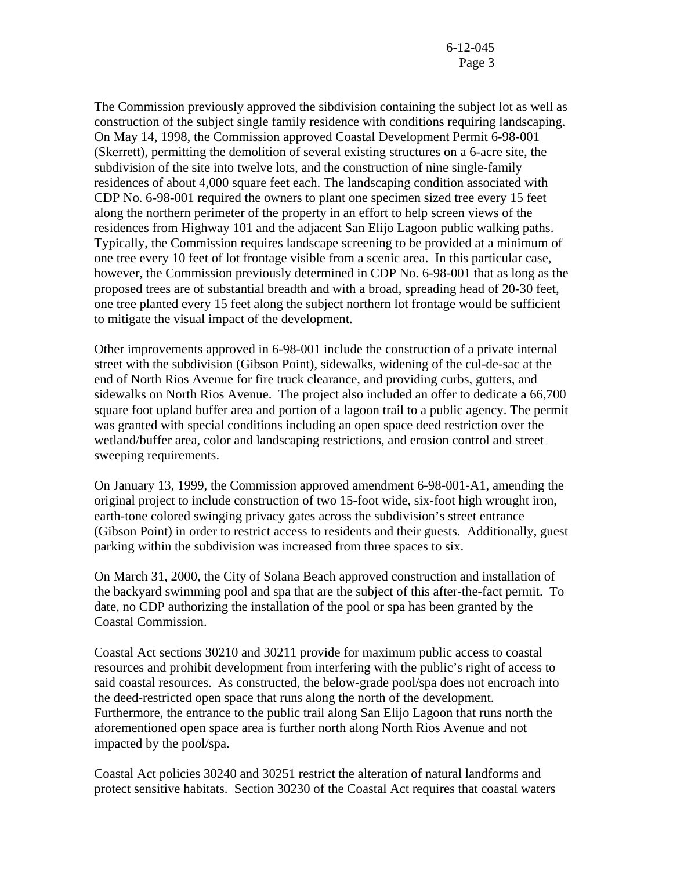The Commission previously approved the sibdivision containing the subject lot as well as construction of the subject single family residence with conditions requiring landscaping. On May 14, 1998, the Commission approved Coastal Development Permit 6-98-001 (Skerrett), permitting the demolition of several existing structures on a 6-acre site, the subdivision of the site into twelve lots, and the construction of nine single-family residences of about 4,000 square feet each. The landscaping condition associated with CDP No. 6-98-001 required the owners to plant one specimen sized tree every 15 feet along the northern perimeter of the property in an effort to help screen views of the residences from Highway 101 and the adjacent San Elijo Lagoon public walking paths. Typically, the Commission requires landscape screening to be provided at a minimum of one tree every 10 feet of lot frontage visible from a scenic area. In this particular case, however, the Commission previously determined in CDP No. 6-98-001 that as long as the proposed trees are of substantial breadth and with a broad, spreading head of 20-30 feet, one tree planted every 15 feet along the subject northern lot frontage would be sufficient to mitigate the visual impact of the development.

Other improvements approved in 6-98-001 include the construction of a private internal street with the subdivision (Gibson Point), sidewalks, widening of the cul-de-sac at the end of North Rios Avenue for fire truck clearance, and providing curbs, gutters, and sidewalks on North Rios Avenue. The project also included an offer to dedicate a 66,700 square foot upland buffer area and portion of a lagoon trail to a public agency. The permit was granted with special conditions including an open space deed restriction over the wetland/buffer area, color and landscaping restrictions, and erosion control and street sweeping requirements.

On January 13, 1999, the Commission approved amendment 6-98-001-A1, amending the original project to include construction of two 15-foot wide, six-foot high wrought iron, earth-tone colored swinging privacy gates across the subdivision's street entrance (Gibson Point) in order to restrict access to residents and their guests. Additionally, guest parking within the subdivision was increased from three spaces to six.

On March 31, 2000, the City of Solana Beach approved construction and installation of the backyard swimming pool and spa that are the subject of this after-the-fact permit. To date, no CDP authorizing the installation of the pool or spa has been granted by the Coastal Commission.

Coastal Act sections 30210 and 30211 provide for maximum public access to coastal resources and prohibit development from interfering with the public's right of access to said coastal resources. As constructed, the below-grade pool/spa does not encroach into the deed-restricted open space that runs along the north of the development. Furthermore, the entrance to the public trail along San Elijo Lagoon that runs north the aforementioned open space area is further north along North Rios Avenue and not impacted by the pool/spa.

Coastal Act policies 30240 and 30251 restrict the alteration of natural landforms and protect sensitive habitats. Section 30230 of the Coastal Act requires that coastal waters